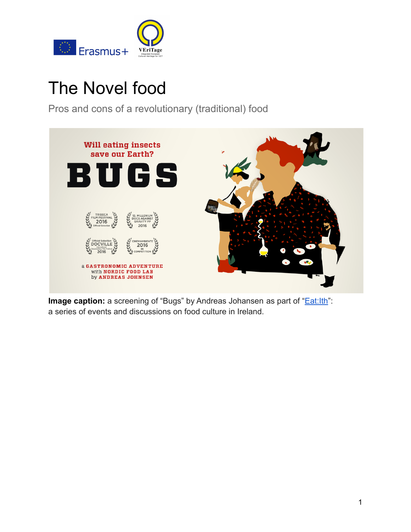

# The Novel food

Pros and cons of a revolutionary (traditional) food



**Image caption:** a screening of "Bugs" by Andreas Johansen as part of "*Eat:Ith*": a series of events and discussions on food culture in Ireland.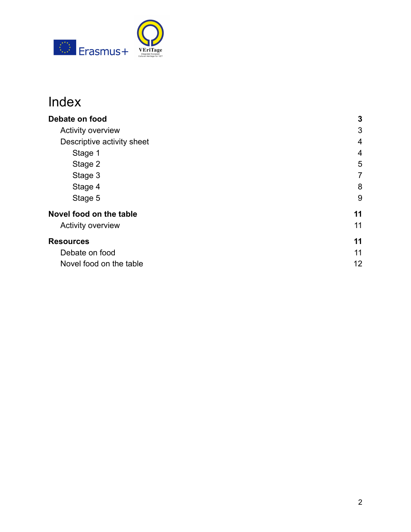

## Index

| Debate on food                                                    | 3                        |         |                |
|-------------------------------------------------------------------|--------------------------|---------|----------------|
| <b>Activity overview</b><br>Descriptive activity sheet<br>Stage 1 | 3<br>$\overline{4}$<br>4 |         |                |
|                                                                   |                          | Stage 2 | 5              |
|                                                                   |                          | Stage 3 | $\overline{7}$ |
| Stage 4                                                           | 8                        |         |                |
| Stage 5                                                           | 9                        |         |                |
| Novel food on the table                                           | 11                       |         |                |
| <b>Activity overview</b>                                          | 11                       |         |                |
| <b>Resources</b>                                                  | 11                       |         |                |
| Debate on food                                                    | 11                       |         |                |
| Novel food on the table                                           | 12                       |         |                |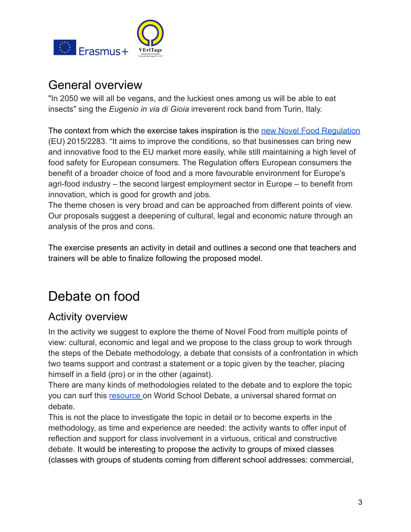

## General overview

"In 2050 we will all be vegans, and the luckiest ones among us will be able to eat insects" sing the *Eugenio in via di Gioia* irreverent rock band from Turin, Italy.

The context from which the exercise takes inspiration is the [new Novel Food Regulation](https://eur-lex.europa.eu/legal-content/en/TXT/?uri=CELEX%3A32015R2283) (EU) 2015/2283. "It aims to improve the conditions, so that businesses can bring new and innovative food to the EU market more easily, while still maintaining a high level of food safety for European consumers. The Regulation offers European consumers the benefit of a broader choice of food and a more favourable environment for Europe's agri-food industry – the second largest employment sector in Europe – to benefit from innovation, which is good for growth and jobs.

The theme chosen is very broad and can be approached from different points of view. Our proposals suggest a deepening of cultural, legal and economic nature through an analysis of the pros and cons.

The exercise presents an activity in detail and outlines a second one that teachers and trainers will be able to finalize following the proposed model.

## <span id="page-2-0"></span>Debate on food

## <span id="page-2-1"></span>Activity overview

In the activity we suggest to explore the theme of Novel Food from multiple points of view: cultural, economic and legal and we propose to the class group to work through the steps of the Debate methodology, a debate that consists of a confrontation in which two teams support and contrast a statement or a topic given by the teacher, placing himself in a field (pro) or in the other (against).

There are many kinds of methodologies related to the debate and to explore the topic you can surf this [resource](https://www.speechanddebate.org/introduction-to-world-schools-debate/) on World School Debate, a universal shared format on debate.

This is not the place to investigate the topic in detail or to become experts in the methodology, as time and experience are needed: the activity wants to offer input of reflection and support for class involvement in a virtuous, critical and constructive debate. It would be interesting to propose the activity to groups of mixed classes (classes with groups of students coming from different school addresses: commercial,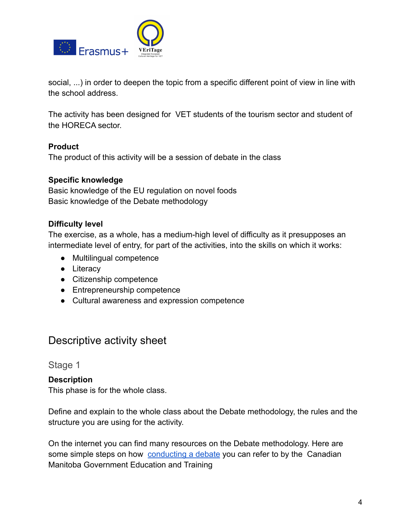

social, ...) in order to deepen the topic from a specific different point of view in line with the school address.

The activity has been designed for VET students of the tourism sector and student of the HORECA sector.

#### **Product**

The product of this activity will be a session of debate in the class

#### **Specific knowledge**

Basic knowledge of the EU regulation on novel foods Basic knowledge of the Debate methodology

#### **Difficulty level**

The exercise, as a whole, has a medium-high level of difficulty as it presupposes an intermediate level of entry, for part of the activities, into the skills on which it works:

- Multilingual competence
- Literacy
- Citizenship competence
- Entrepreneurship competence
- Cultural awareness and expression competence

### <span id="page-3-0"></span>Descriptive activity sheet

<span id="page-3-1"></span>Stage 1

#### **Description**

This phase is for the whole class.

Define and explain to the whole class about the Debate methodology, the rules and the structure you are using for the activity.

On the internet you can find many resources on the Debate methodology. Here are some simple [steps](https://www.edu.gov.mb.ca/k12/cur/socstud/frame_found_sr2/tns/tn-13.pdf) on how [conducting a debate](https://www.edu.gov.mb.ca/k12/cur/socstud/frame_found_sr2/tns/tn-13.pdf) you can refer to by the Canadian Manitoba Government Education and Training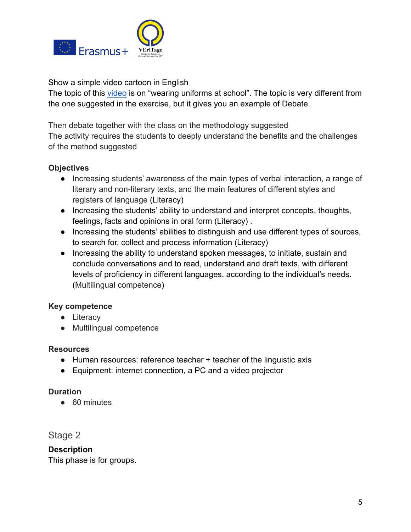

Show a simple video cartoon in English

The topic of this [video](https://www.youtube.com/watch?v=lwXZisYEQZs) is on "wearing uniforms at school". The topic is very different from the one suggested in the exercise, but it gives you an example of Debate.

Then debate together with the class on the methodology suggested The activity requires the students to deeply understand the benefits and the challenges of the method suggested

#### **Objectives**

- Increasing students' awareness of the main types of verbal interaction, a range of literary and non-literary texts, and the main features of different styles and registers of language (Literacy)
- Increasing the students' ability to understand and interpret concepts, thoughts, feelings, facts and opinions in oral form (Literacy) .
- Increasing the students' abilities to distinguish and use different types of sources, to search for, collect and process information (Literacy)
- Increasing the ability to understand spoken messages, to initiate, sustain and conclude conversations and to read, understand and draft texts, with different levels of proficiency in different languages, according to the individual's needs. (Multilingual competence)

#### **Key competence**

- Literacy
- Multilingual competence

#### **Resources**

- Human resources: reference teacher + teacher of the linguistic axis
- Equipment: internet connection, a PC and a video projector

#### **Duration**

● 60 minutes

<span id="page-4-0"></span>Stage 2

**Description** This phase is for groups.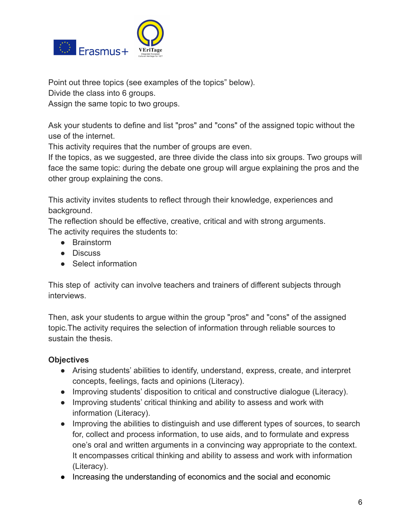

Point out three topics (see examples of the topics" below).

Divide the class into 6 groups.

Assign the same topic to two groups.

Ask your students to define and list "pros" and "cons" of the assigned topic without the use of the internet.

This activity requires that the number of groups are even.

If the topics, as we suggested, are three divide the class into six groups. Two groups will face the same topic: during the debate one group will argue explaining the pros and the other group explaining the cons.

This activity invites students to reflect through their knowledge, experiences and background.

The reflection should be effective, creative, critical and with strong arguments. The activity requires the students to:

- Brainstorm
- Discuss
- Select information

This step of activity can involve teachers and trainers of different subjects through interviews.

Then, ask your students to argue within the group "pros" and "cons" of the assigned topic.The activity requires the selection of information through reliable sources to sustain the thesis.

#### **Objectives**

- Arising students' abilities to identify, understand, express, create, and interpret concepts, feelings, facts and opinions (Literacy).
- Improving students' disposition to critical and constructive dialogue (Literacy).
- Improving students' critical thinking and ability to assess and work with information (Literacy).
- Improving the abilities to distinguish and use different types of sources, to search for, collect and process information, to use aids, and to formulate and express one's oral and written arguments in a convincing way appropriate to the context. It encompasses critical thinking and ability to assess and work with information (Literacy).
- Increasing the understanding of economics and the social and economic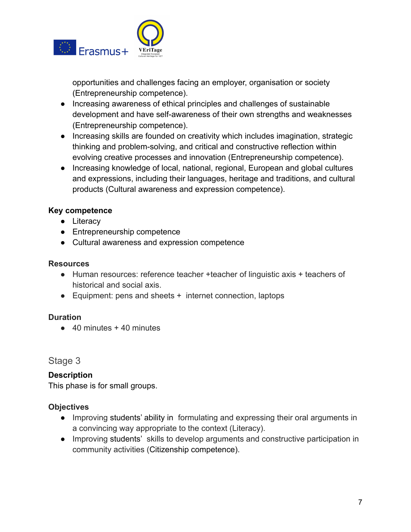

opportunities and challenges facing an employer, organisation or society (Entrepreneurship competence).

- Increasing awareness of ethical principles and challenges of sustainable development and have self-awareness of their own strengths and weaknesses (Entrepreneurship competence).
- Increasing skills are founded on creativity which includes imagination, strategic thinking and problem-solving, and critical and constructive reflection within evolving creative processes and innovation (Entrepreneurship competence).
- Increasing knowledge of local, national, regional, European and global cultures and expressions, including their languages, heritage and traditions, and cultural products (Cultural awareness and expression competence).

#### **Key competence**

- Literacy
- Entrepreneurship competence
- Cultural awareness and expression competence

#### **Resources**

- Human resources: reference teacher +teacher of linguistic axis + teachers of historical and social axis.
- Equipment: pens and sheets + internet connection, laptops

#### **Duration**

 $\bullet$  40 minutes + 40 minutes

<span id="page-6-0"></span>Stage 3

#### **Description**

This phase is for small groups.

#### **Objectives**

- Improving students' ability in formulating and expressing their oral arguments in a convincing way appropriate to the context (Literacy).
- Improving students' skills to develop arguments and constructive participation in community activities (Citizenship competence).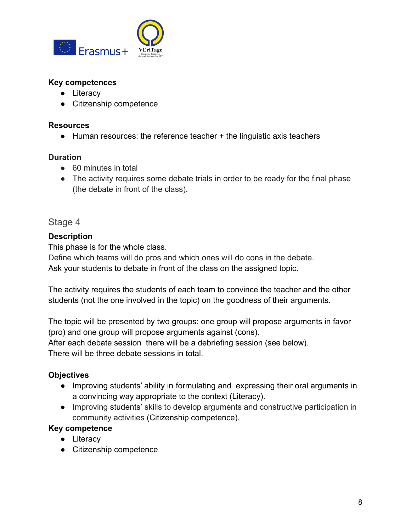

#### **Key competences**

- Literacy
- Citizenship competence

#### **Resources**

● Human resources: the reference teacher + the linguistic axis teachers

#### **Duration**

- 60 minutes in total
- The activity requires some debate trials in order to be ready for the final phase (the debate in front of the class).

#### <span id="page-7-0"></span>Stage 4

#### **Description**

This phase is for the whole class.

Define which teams will do pros and which ones will do cons in the debate. Ask your students to debate in front of the class on the assigned topic.

The activity requires the students of each team to convince the teacher and the other students (not the one involved in the topic) on the goodness of their arguments.

The topic will be presented by two groups: one group will propose arguments in favor (pro) and one group will propose arguments against (cons).

After each debate session there will be a debriefing session (see below).

There will be three debate sessions in total.

#### **Objectives**

- Improving students' ability in formulating and expressing their oral arguments in a convincing way appropriate to the context (Literacy).
- Improving students' skills to develop arguments and constructive participation in community activities (Citizenship competence).

#### **Key competence**

- Literacy
- Citizenship competence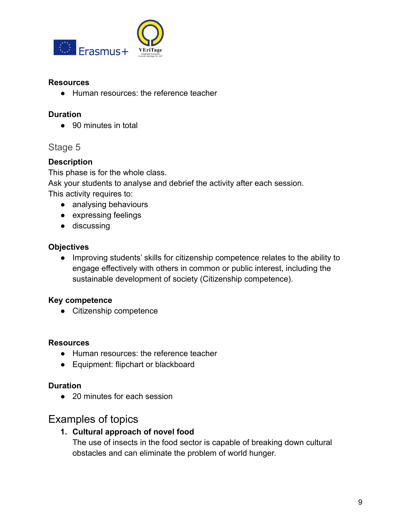

#### **Resources**

● Human resources: the reference teacher

#### **Duration**

● 90 minutes in total

#### <span id="page-8-0"></span>Stage 5

#### **Description**

This phase is for the whole class.

Ask your students to analyse and debrief the activity after each session.

This activity requires to:

- analysing behaviours
- expressing feelings
- discussing

#### **Objectives**

● Improving students' skills for citizenship competence relates to the ability to engage effectively with others in common or public interest, including the sustainable development of society (Citizenship competence).

#### **Key competence**

● Citizenship competence

#### **Resources**

- Human resources: the reference teacher
- Equipment: flipchart or blackboard

#### **Duration**

● 20 minutes for each session

### Examples of topics

#### **1. Cultural approach of novel food**

The use of insects in the food sector is capable of breaking down cultural obstacles and can eliminate the problem of world hunger.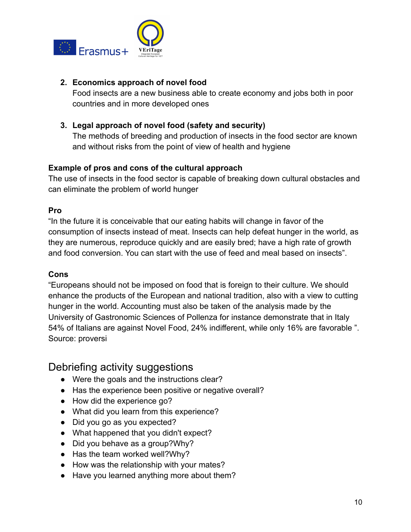

#### **2. Economics approach of novel food**

Food insects are a new business able to create economy and jobs both in poor countries and in more developed ones

#### **3. Legal approach of novel food (safety and security)**

The methods of breeding and production of insects in the food sector are known and without risks from the point of view of health and hygiene

#### **Example of pros and cons of the cultural approach**

The use of insects in the food sector is capable of breaking down cultural obstacles and can eliminate the problem of world hunger

#### **Pro**

"In the future it is conceivable that our eating habits will change in favor of the consumption of insects instead of meat. Insects can help defeat hunger in the world, as they are numerous, reproduce quickly and are easily bred; have a high rate of growth and food conversion. You can start with the use of feed and meal based on insects".

#### **Cons**

"Europeans should not be imposed on food that is foreign to their culture. We should enhance the products of the European and national tradition, also with a view to cutting hunger in the world. Accounting must also be taken of the analysis made by the University of Gastronomic Sciences of Pollenza for instance demonstrate that in Italy 54% of Italians are against Novel Food, 24% indifferent, while only 16% are favorable ". Source: proversi

### Debriefing activity suggestions

- Were the goals and the instructions clear?
- Has the experience been positive or negative overall?
- How did the experience go?
- What did you learn from this experience?
- Did you go as you expected?
- What happened that you didn't expect?
- Did you behave as a group? Why?
- Has the team worked well?Why?
- How was the relationship with your mates?
- Have you learned anything more about them?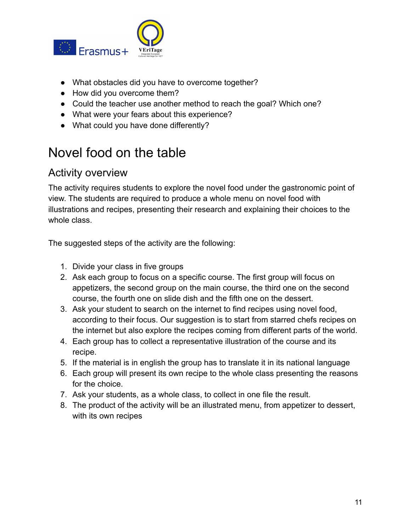

- What obstacles did you have to overcome together?
- How did you overcome them?
- Could the teacher use another method to reach the goal? Which one?
- What were your fears about this experience?
- What could you have done differently?

## <span id="page-10-0"></span>Novel food on the table

### <span id="page-10-1"></span>Activity overview

The activity requires students to explore the novel food under the gastronomic point of view. The students are required to produce a whole menu on novel food with illustrations and recipes, presenting their research and explaining their choices to the whole class.

The suggested steps of the activity are the following:

- 1. Divide your class in five groups
- 2. Ask each group to focus on a specific course. The first group will focus on appetizers, the second group on the main course, the third one on the second course, the fourth one on slide dish and the fifth one on the dessert.
- 3. Ask your student to search on the internet to find recipes using novel food, according to their focus. Our suggestion is to start from starred chefs recipes on the internet but also explore the recipes coming from different parts of the world.
- 4. Each group has to collect a representative illustration of the course and its recipe.
- 5. If the material is in english the group has to translate it in its national language
- 6. Each group will present its own recipe to the whole class presenting the reasons for the choice.
- 7. Ask your students, as a whole class, to collect in one file the result.
- 8. The product of the activity will be an illustrated menu, from appetizer to dessert, with its own recipes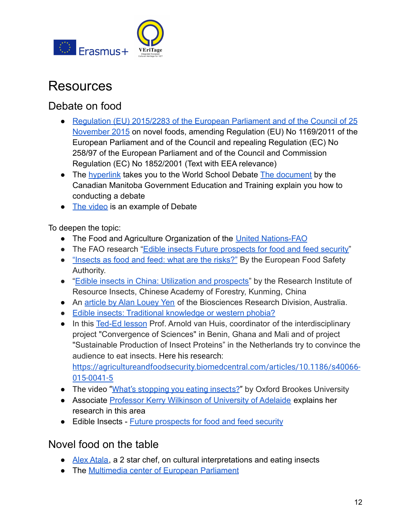

## <span id="page-11-0"></span>Resources

## <span id="page-11-1"></span>Debate on food

- [Regulation \(EU\) 2015/2283 of the European Parliament](https://eur-lex.europa.eu/legal-content/en/TXT/?uri=CELEX%3A32015R2283) and of the Council of 25 [November 2015](https://eur-lex.europa.eu/legal-content/en/TXT/?uri=CELEX%3A32015R2283) on novel foods, amending Regulation (EU) No 1169/2011 of the European Parliament and of the Council and repealing Regulation (EC) No 258/97 of the European Parliament and of the Council and Commission Regulation (EC) No 1852/2001 (Text with EEA relevance)
- The [hyperlink](https://www.speechanddebate.org/introduction-to-world-schools-debate/) takes you to the World School Debate [The document](https://www.edu.gov.mb.ca/k12/cur/socstud/frame_found_sr2/tns/tn-13.pdf) by the Canadian Manitoba Government Education and Training explain you how to [conducting a debate](https://www.edu.gov.mb.ca/k12/cur/socstud/frame_found_sr2/tns/tn-13.pdf)
- [The video](https://www.youtube.com/watch?v=lwXZisYEQZs) is an example of Debate

To deepen the topic:

- The Food and Agriculture Organization of the United [Nations-FAO](http://www.fao.org/edible-insects/en/)
- The FAO research ["Edible insects Future prospects](http://www.fao.org/3/i3253e/i3253e.pdf) for food and feed security"
- ["Insects as food and feed: what are the risks?"](https://www.efsa.europa.eu/en/press/news/151008a) By the European Food Safety Authority.
- "[Edible insects in China: Utilization and prospects"](https://www.researchgate.net/publication/313902069_Edible_Insects_in_China_Utilization_and_Prospects) by the Research Institute of Resource Insects, Chinese Academy of Forestry, Kunming, China
- An article [by Alan Louey Yen](https://onlinelibrary.wiley.com/doi/full/10.1111/j.1748-5967.2009.00239.x) of the Biosciences Research Division, Australia.
- [Edible insects: Traditional knowledge or western phobia?](https://onlinelibrary.wiley.com/doi/full/10.1111/j.1748-5967.2009.00239.x)
- In this [Ted-Ed lesson](https://www.youtube.com/watch?v=aXs6yQMsQfY) Prof. Arnold van Huis, coordinator of the interdisciplinary project "Convergence of Sciences" in Benin, Ghana and Mali and of project "Sustainable Production of Insect Proteins" in the Netherlands try to convince the audience to eat insects. Here his research: [https://agricultureandfoodsecurity.biomedcentral.com/articles/10.1186/s40066-](https://agricultureandfoodsecurity.biomedcentral.com/articles/10.1186/s40066-015-0041-5) [015-0041-5](https://agricultureandfoodsecurity.biomedcentral.com/articles/10.1186/s40066-015-0041-5)
- The video "[What's stopping you eating insects?](https://www.youtube.com/watch?v=KHttnXWSDmM)" by Oxford Brookes University
- Associate [Professor Kerry Wilkinson of University](https://www.youtube.com/watch?v=pqyc9rZaa7Y) of Adelaide explains her research in this area
- Edible Insects [Future prospects for food and feed](http://www.fao.org/3/i3253e/i3253e.pdf) security

## <span id="page-11-2"></span>Novel food on the table

- [Alex Atala](https://www.youtube.com/watch?time_continue=50&v=XtgVfgPShhw), a 2 star chef, on cultural interpretations and eating insects
- The [Multimedia center of European Parliament](https://multimedia.europarl.europa.eu/en/search?q=%22novel%2Bfood%2B%28T%29%22&st=&ut=&EPV_PHOTO=37)